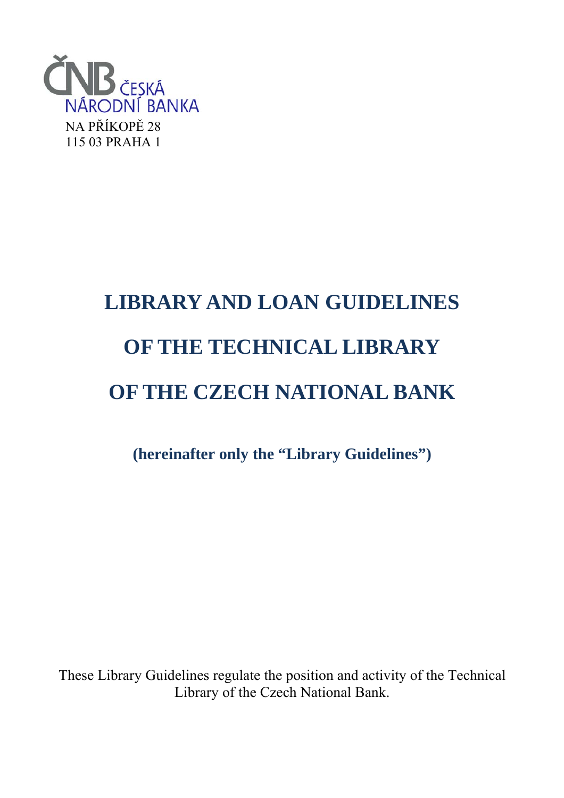

# **LIBRARY AND LOAN GUIDELINES OF THE TECHNICAL LIBRARY OF THE CZECH NATIONAL BANK**

**(hereinafter only the "Library Guidelines")**

These Library Guidelines regulate the position and activity of the Technical Library of the Czech National Bank.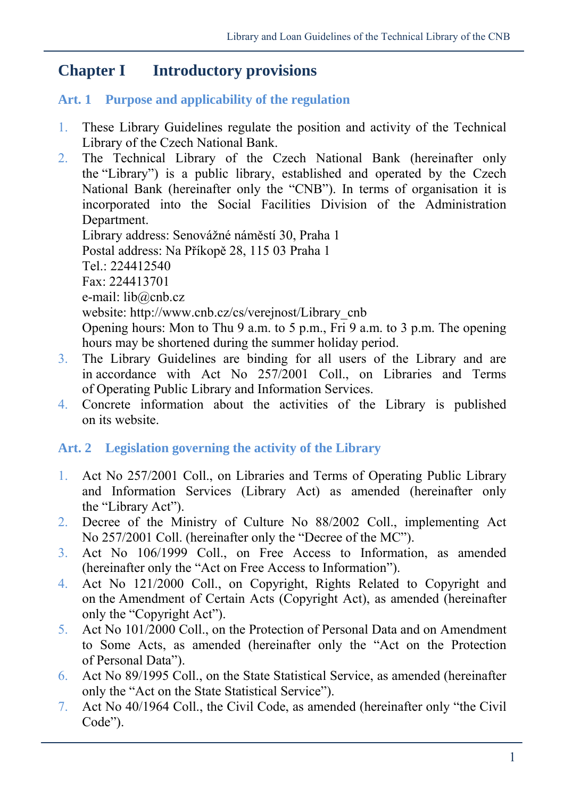## **Chapter I Introductory provisions**

#### **Art. 1 Purpose and applicability of the regulation**

- 1. These Library Guidelines regulate the position and activity of the Technical Library of the Czech National Bank.
- 2. The Technical Library of the Czech National Bank (hereinafter only the "Library") is a public library, established and operated by the Czech National Bank (hereinafter only the "CNB"). In terms of organisation it is incorporated into the Social Facilities Division of the Administration Department. Library address: Senovážné náměstí 30, Praha 1 Postal address: Na Příkopě 28, 115 03 Praha 1 Tel.: 224412540 Fax: 224413701

e-mail: lib@cnb.cz

website: http://www.cnb.cz/cs/verejnost/Library\_cnb

Opening hours: Mon to Thu 9 a.m. to 5 p.m., Fri 9 a.m. to 3 p.m. The opening hours may be shortened during the summer holiday period.

- 3. The Library Guidelines are binding for all users of the Library and are in accordance with Act No 257/2001 Coll., on Libraries and Terms of Operating Public Library and Information Services.
- 4. Concrete information about the activities of the Library is published on its website.

## **Art. 2 Legislation governing the activity of the Library**

- 1. Act No 257/2001 Coll., on Libraries and Terms of Operating Public Library and Information Services (Library Act) as amended (hereinafter only the "Library Act").
- 2. Decree of the Ministry of Culture No 88/2002 Coll., implementing Act No 257/2001 Coll. (hereinafter only the "Decree of the MC").
- 3. Act No 106/1999 Coll., on Free Access to Information, as amended (hereinafter only the "Act on Free Access to Information").
- 4. Act No 121/2000 Coll., on Copyright, Rights Related to Copyright and on the Amendment of Certain Acts (Copyright Act), as amended (hereinafter only the "Copyright Act").
- 5. Act No 101/2000 Coll., on the Protection of Personal Data and on Amendment to Some Acts, as amended (hereinafter only the "Act on the Protection of Personal Data").
- 6. Act No 89/1995 Coll., on the State Statistical Service, as amended (hereinafter only the "Act on the State Statistical Service").
- 7. Act No 40/1964 Coll., the Civil Code, as amended (hereinafter only "the Civil Code").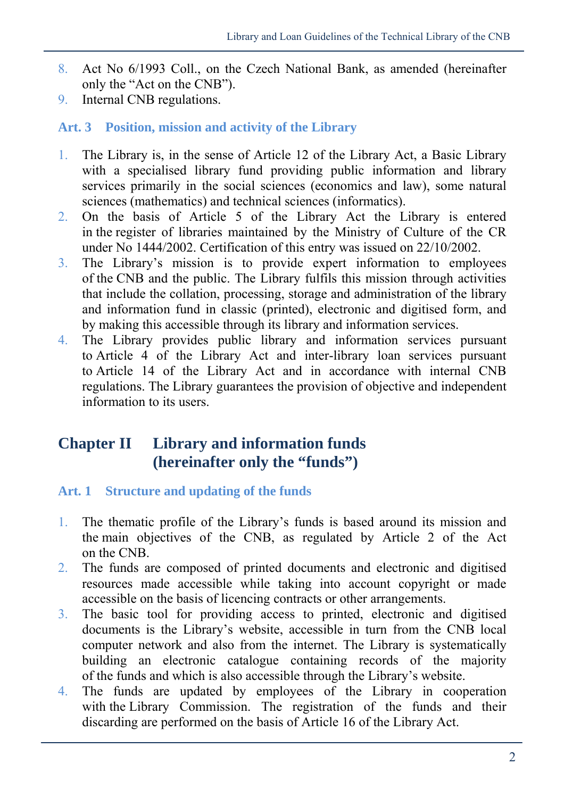- 8. Act No 6/1993 Coll., on the Czech National Bank, as amended (hereinafter only the "Act on the CNB").
- 9. Internal CNB regulations.

#### **Art. 3 Position, mission and activity of the Library**

- 1. The Library is, in the sense of Article 12 of the Library Act, a Basic Library with a specialised library fund providing public information and library services primarily in the social sciences (economics and law), some natural sciences (mathematics) and technical sciences (informatics).
- 2. On the basis of Article 5 of the Library Act the Library is entered in the register of libraries maintained by the Ministry of Culture of the CR under No 1444/2002. Certification of this entry was issued on 22/10/2002.
- 3. The Library's mission is to provide expert information to employees of the CNB and the public. The Library fulfils this mission through activities that include the collation, processing, storage and administration of the library and information fund in classic (printed), electronic and digitised form, and by making this accessible through its library and information services.
- 4. The Library provides public library and information services pursuant to Article 4 of the Library Act and inter-library loan services pursuant to Article 14 of the Library Act and in accordance with internal CNB regulations. The Library guarantees the provision of objective and independent information to its users.

# **Chapter II Library and information funds (hereinafter only the "funds")**

#### **Art. 1 Structure and updating of the funds**

- 1. The thematic profile of the Library's funds is based around its mission and the main objectives of the CNB, as regulated by Article 2 of the Act on the CNB.
- 2. The funds are composed of printed documents and electronic and digitised resources made accessible while taking into account copyright or made accessible on the basis of licencing contracts or other arrangements.
- 3. The basic tool for providing access to printed, electronic and digitised documents is the Library's website, accessible in turn from the CNB local computer network and also from the internet. The Library is systematically building an electronic catalogue containing records of the majority of the funds and which is also accessible through the Library's website.
- 4. The funds are updated by employees of the Library in cooperation with the Library Commission. The registration of the funds and their discarding are performed on the basis of Article 16 of the Library Act.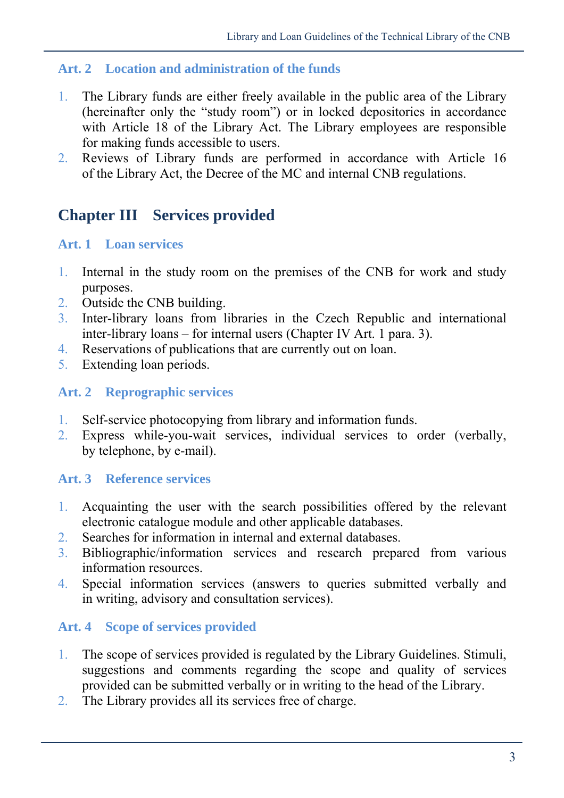#### **Art. 2 Location and administration of the funds**

- 1. The Library funds are either freely available in the public area of the Library (hereinafter only the "study room") or in locked depositories in accordance with Article 18 of the Library Act. The Library employees are responsible for making funds accessible to users.
- 2. Reviews of Library funds are performed in accordance with Article 16 of the Library Act, the Decree of the MC and internal CNB regulations.

# **Chapter III Services provided**

#### **Art. 1 Loan services**

- 1. Internal in the study room on the premises of the CNB for work and study purposes.
- 2. Outside the CNB building.
- 3. Inter-library loans from libraries in the Czech Republic and international inter-library loans – for internal users (Chapter IV Art. 1 para. 3).
- 4. Reservations of publications that are currently out on loan.
- 5. Extending loan periods.

#### **Art. 2 Reprographic services**

- 1. Self-service photocopying from library and information funds.
- 2. Express while-you-wait services, individual services to order (verbally, by telephone, by e-mail).

#### **Art. 3 Reference services**

- 1. Acquainting the user with the search possibilities offered by the relevant electronic catalogue module and other applicable databases.
- 2. Searches for information in internal and external databases.
- 3. Bibliographic/information services and research prepared from various information resources.
- 4. Special information services (answers to queries submitted verbally and in writing, advisory and consultation services).

#### **Art. 4 Scope of services provided**

- 1. The scope of services provided is regulated by the Library Guidelines. Stimuli, suggestions and comments regarding the scope and quality of services provided can be submitted verbally or in writing to the head of the Library.
- 2. The Library provides all its services free of charge.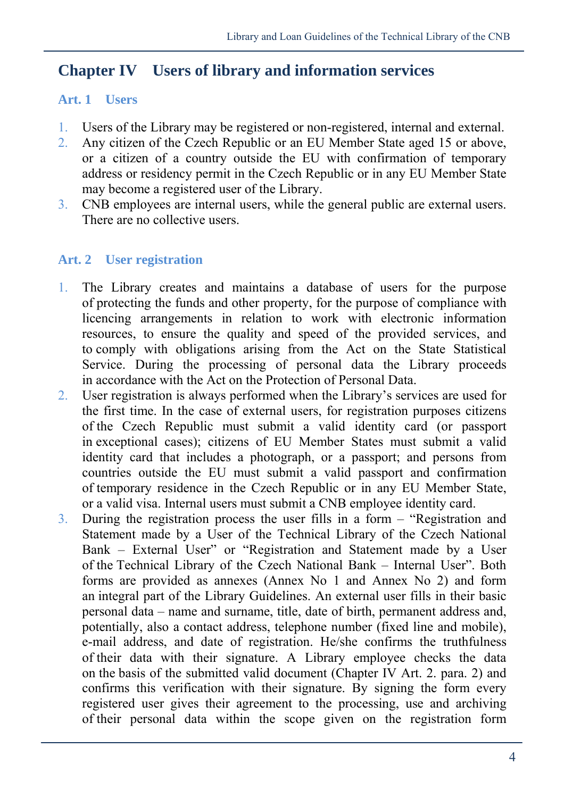## **Chapter IV Users of library and information services**

#### **Art. 1 Users**

- 1. Users of the Library may be registered or non-registered, internal and external.
- 2. Any citizen of the Czech Republic or an EU Member State aged 15 or above, or a citizen of a country outside the EU with confirmation of temporary address or residency permit in the Czech Republic or in any EU Member State may become a registered user of the Library.
- 3. CNB employees are internal users, while the general public are external users. There are no collective users.

#### **Art. 2 User registration**

- 1. The Library creates and maintains a database of users for the purpose of protecting the funds and other property, for the purpose of compliance with licencing arrangements in relation to work with electronic information resources, to ensure the quality and speed of the provided services, and to comply with obligations arising from the Act on the State Statistical Service. During the processing of personal data the Library proceeds in accordance with the Act on the Protection of Personal Data.
- 2. User registration is always performed when the Library's services are used for the first time. In the case of external users, for registration purposes citizens of the Czech Republic must submit a valid identity card (or passport in exceptional cases); citizens of EU Member States must submit a valid identity card that includes a photograph, or a passport; and persons from countries outside the EU must submit a valid passport and confirmation of temporary residence in the Czech Republic or in any EU Member State, or a valid visa. Internal users must submit a CNB employee identity card.
- 3. During the registration process the user fills in a form "Registration and Statement made by a User of the Technical Library of the Czech National Bank – External User" or "Registration and Statement made by a User of the Technical Library of the Czech National Bank – Internal User". Both forms are provided as annexes (Annex No 1 and Annex No 2) and form an integral part of the Library Guidelines. An external user fills in their basic personal data – name and surname, title, date of birth, permanent address and, potentially, also a contact address, telephone number (fixed line and mobile), e-mail address, and date of registration. He/she confirms the truthfulness of their data with their signature. A Library employee checks the data on the basis of the submitted valid document (Chapter IV Art. 2. para. 2) and confirms this verification with their signature. By signing the form every registered user gives their agreement to the processing, use and archiving of their personal data within the scope given on the registration form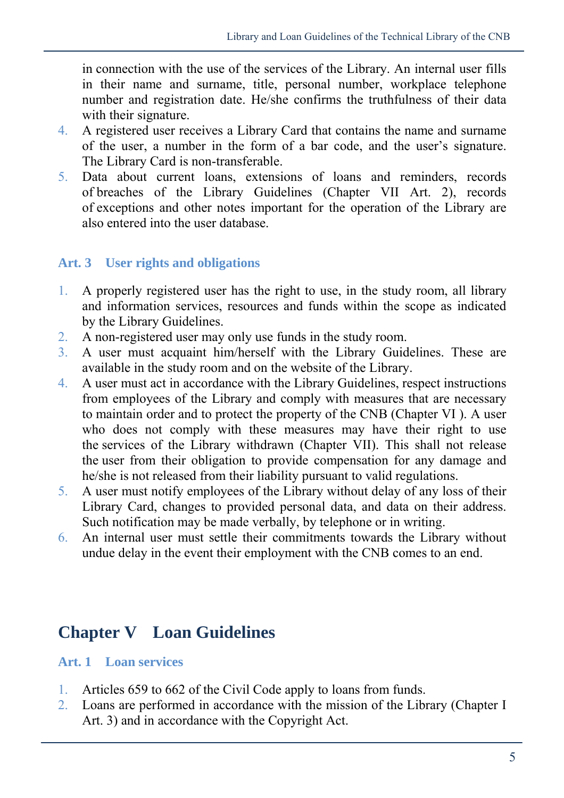in connection with the use of the services of the Library. An internal user fills in their name and surname, title, personal number, workplace telephone number and registration date. He/she confirms the truthfulness of their data with their signature.

- 4. A registered user receives a Library Card that contains the name and surname of the user, a number in the form of a bar code, and the user's signature. The Library Card is non-transferable.
- 5. Data about current loans, extensions of loans and reminders, records of breaches of the Library Guidelines (Chapter VII Art. 2), records of exceptions and other notes important for the operation of the Library are also entered into the user database.

#### **Art. 3 User rights and obligations**

- 1. A properly registered user has the right to use, in the study room, all library and information services, resources and funds within the scope as indicated by the Library Guidelines.
- 2. A non-registered user may only use funds in the study room.
- 3. A user must acquaint him/herself with the Library Guidelines. These are available in the study room and on the website of the Library.
- 4. A user must act in accordance with the Library Guidelines, respect instructions from employees of the Library and comply with measures that are necessary to maintain order and to protect the property of the CNB (Chapter VI ). A user who does not comply with these measures may have their right to use the services of the Library withdrawn (Chapter VII). This shall not release the user from their obligation to provide compensation for any damage and he/she is not released from their liability pursuant to valid regulations.
- 5. A user must notify employees of the Library without delay of any loss of their Library Card, changes to provided personal data, and data on their address. Such notification may be made verbally, by telephone or in writing.
- 6. An internal user must settle their commitments towards the Library without undue delay in the event their employment with the CNB comes to an end.

# **Chapter V Loan Guidelines**

#### **Art. 1 Loan services**

- 1. Articles 659 to 662 of the Civil Code apply to loans from funds.
- 2. Loans are performed in accordance with the mission of the Library (Chapter I Art. 3) and in accordance with the Copyright Act.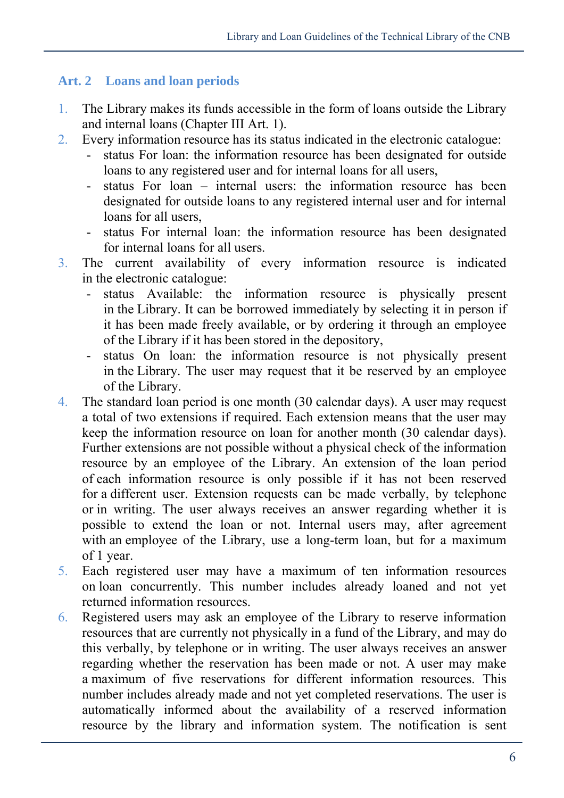#### **Art. 2 Loans and loan periods**

- 1. The Library makes its funds accessible in the form of loans outside the Library and internal loans (Chapter III Art. 1).
- 2. Every information resource has its status indicated in the electronic catalogue:
	- status For loan: the information resource has been designated for outside loans to any registered user and for internal loans for all users,
	- status For loan internal users: the information resource has been designated for outside loans to any registered internal user and for internal loans for all users,
	- status For internal loan: the information resource has been designated for internal loans for all users.
- 3. The current availability of every information resource is indicated in the electronic catalogue:
	- status Available: the information resource is physically present in the Library. It can be borrowed immediately by selecting it in person if it has been made freely available, or by ordering it through an employee of the Library if it has been stored in the depository,
	- status On loan: the information resource is not physically present in the Library. The user may request that it be reserved by an employee of the Library.
- 4. The standard loan period is one month (30 calendar days). A user may request a total of two extensions if required. Each extension means that the user may keep the information resource on loan for another month (30 calendar days). Further extensions are not possible without a physical check of the information resource by an employee of the Library. An extension of the loan period of each information resource is only possible if it has not been reserved for a different user. Extension requests can be made verbally, by telephone or in writing. The user always receives an answer regarding whether it is possible to extend the loan or not. Internal users may, after agreement with an employee of the Library, use a long-term loan, but for a maximum of 1 year.
- 5. Each registered user may have a maximum of ten information resources on loan concurrently. This number includes already loaned and not yet returned information resources.
- 6. Registered users may ask an employee of the Library to reserve information resources that are currently not physically in a fund of the Library, and may do this verbally, by telephone or in writing. The user always receives an answer regarding whether the reservation has been made or not. A user may make a maximum of five reservations for different information resources. This number includes already made and not yet completed reservations. The user is automatically informed about the availability of a reserved information resource by the library and information system. The notification is sent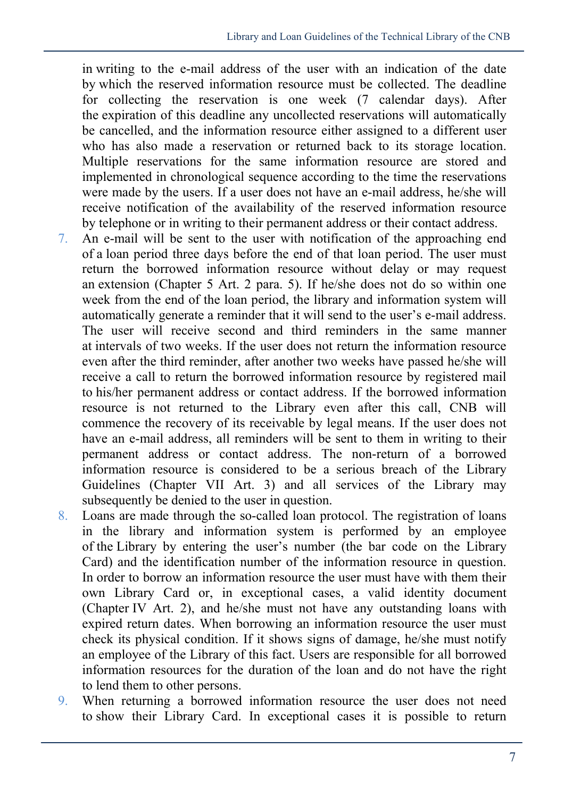in writing to the e-mail address of the user with an indication of the date by which the reserved information resource must be collected. The deadline for collecting the reservation is one week (7 calendar days). After the expiration of this deadline any uncollected reservations will automatically be cancelled, and the information resource either assigned to a different user who has also made a reservation or returned back to its storage location. Multiple reservations for the same information resource are stored and implemented in chronological sequence according to the time the reservations were made by the users. If a user does not have an e-mail address, he/she will receive notification of the availability of the reserved information resource by telephone or in writing to their permanent address or their contact address.

- 7. An e-mail will be sent to the user with notification of the approaching end of a loan period three days before the end of that loan period. The user must return the borrowed information resource without delay or may request an extension (Chapter 5 Art. 2 para. 5). If he/she does not do so within one week from the end of the loan period, the library and information system will automatically generate a reminder that it will send to the user's e-mail address. The user will receive second and third reminders in the same manner at intervals of two weeks. If the user does not return the information resource even after the third reminder, after another two weeks have passed he/she will receive a call to return the borrowed information resource by registered mail to his/her permanent address or contact address. If the borrowed information resource is not returned to the Library even after this call, CNB will commence the recovery of its receivable by legal means. If the user does not have an e-mail address, all reminders will be sent to them in writing to their permanent address or contact address. The non-return of a borrowed information resource is considered to be a serious breach of the Library Guidelines (Chapter VII Art. 3) and all services of the Library may subsequently be denied to the user in question.
- 8. Loans are made through the so-called loan protocol. The registration of loans in the library and information system is performed by an employee of the Library by entering the user's number (the bar code on the Library Card) and the identification number of the information resource in question. In order to borrow an information resource the user must have with them their own Library Card or, in exceptional cases, a valid identity document (Chapter IV Art. 2), and he/she must not have any outstanding loans with expired return dates. When borrowing an information resource the user must check its physical condition. If it shows signs of damage, he/she must notify an employee of the Library of this fact. Users are responsible for all borrowed information resources for the duration of the loan and do not have the right to lend them to other persons.
- 9. When returning a borrowed information resource the user does not need to show their Library Card. In exceptional cases it is possible to return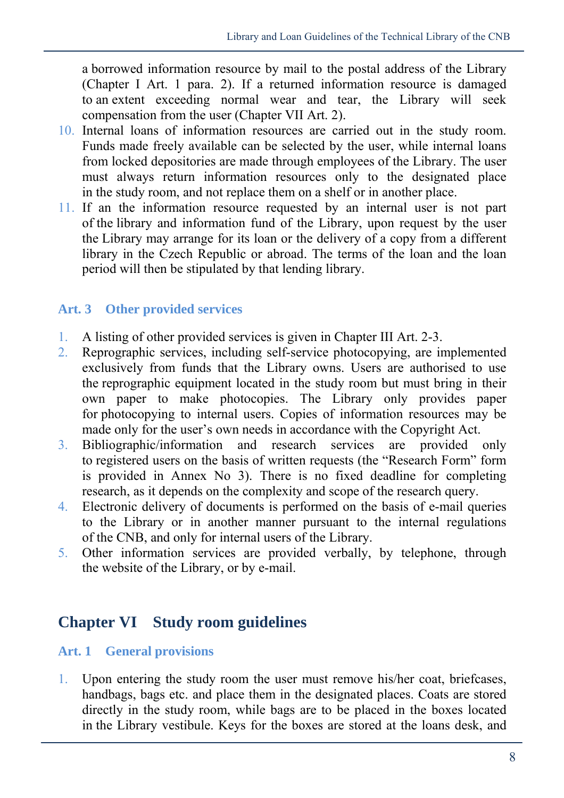a borrowed information resource by mail to the postal address of the Library (Chapter I Art. 1 para. 2). If a returned information resource is damaged to an extent exceeding normal wear and tear, the Library will seek compensation from the user (Chapter VII Art. 2).

- 10. Internal loans of information resources are carried out in the study room. Funds made freely available can be selected by the user, while internal loans from locked depositories are made through employees of the Library. The user must always return information resources only to the designated place in the study room, and not replace them on a shelf or in another place.
- 11. If an the information resource requested by an internal user is not part of the library and information fund of the Library, upon request by the user the Library may arrange for its loan or the delivery of a copy from a different library in the Czech Republic or abroad. The terms of the loan and the loan period will then be stipulated by that lending library.

#### **Art. 3 Other provided services**

- 1. A listing of other provided services is given in Chapter III Art. 2-3.
- 2. Reprographic services, including self-service photocopying, are implemented exclusively from funds that the Library owns. Users are authorised to use the reprographic equipment located in the study room but must bring in their own paper to make photocopies. The Library only provides paper for photocopying to internal users. Copies of information resources may be made only for the user's own needs in accordance with the Copyright Act.
- 3. Bibliographic/information and research services are provided only to registered users on the basis of written requests (the "Research Form" form is provided in Annex No 3). There is no fixed deadline for completing research, as it depends on the complexity and scope of the research query.
- 4. Electronic delivery of documents is performed on the basis of e-mail queries to the Library or in another manner pursuant to the internal regulations of the CNB, and only for internal users of the Library.
- 5. Other information services are provided verbally, by telephone, through the website of the Library, or by e-mail.

## **Chapter VI Study room guidelines**

#### **Art. 1 General provisions**

1. Upon entering the study room the user must remove his/her coat, briefcases, handbags, bags etc. and place them in the designated places. Coats are stored directly in the study room, while bags are to be placed in the boxes located in the Library vestibule. Keys for the boxes are stored at the loans desk, and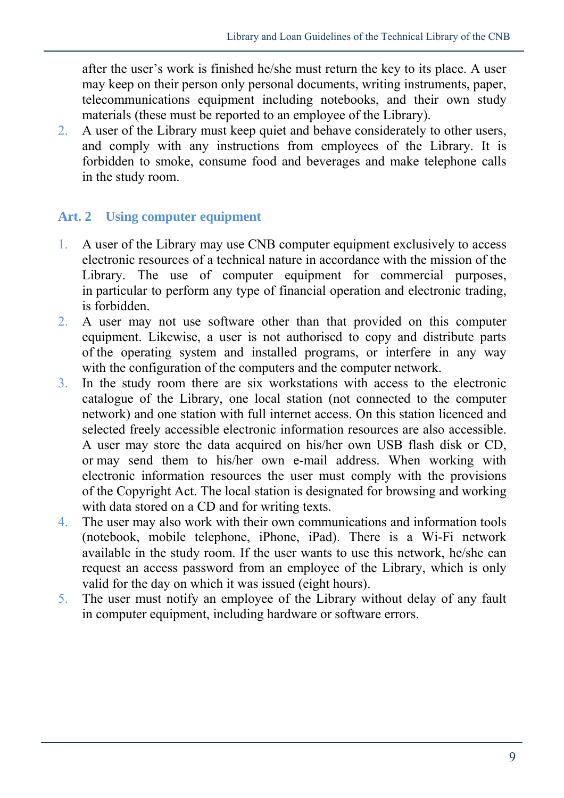after the user's work is finished he/she must return the key to its place. A user may keep on their person only personal documents, writing instruments, paper, telecommunications equipment including notebooks, and their own study materials (these must be reported to an employee of the Library).

2. A user of the Library must keep quiet and behave considerately to other users, and comply with any instructions from employees of the Library. It is forbidden to smoke, consume food and beverages and make telephone calls in the study room.

#### **Art. 2 Using computer equipment**

- 1. A user of the Library may use CNB computer equipment exclusively to access electronic resources of a technical nature in accordance with the mission of the Library. The use of computer equipment for commercial purposes, in particular to perform any type of financial operation and electronic trading, is forbidden.
- 2. A user may not use software other than that provided on this computer equipment. Likewise, a user is not authorised to copy and distribute parts of the operating system and installed programs, or interfere in any way with the configuration of the computers and the computer network.
- 3. In the study room there are six workstations with access to the electronic catalogue of the Library, one local station (not connected to the computer network) and one station with full internet access. On this station licenced and selected freely accessible electronic information resources are also accessible. A user may store the data acquired on his/her own USB flash disk or CD, or may send them to his/her own e-mail address. When working with electronic information resources the user must comply with the provisions of the Copyright Act. The local station is designated for browsing and working with data stored on a CD and for writing texts.
- 4. The user may also work with their own communications and information tools (notebook, mobile telephone, iPhone, iPad). There is a Wi-Fi network available in the study room. If the user wants to use this network, he/she can request an access password from an employee of the Library, which is only valid for the day on which it was issued (eight hours).
- 5. The user must notify an employee of the Library without delay of any fault in computer equipment, including hardware or software errors.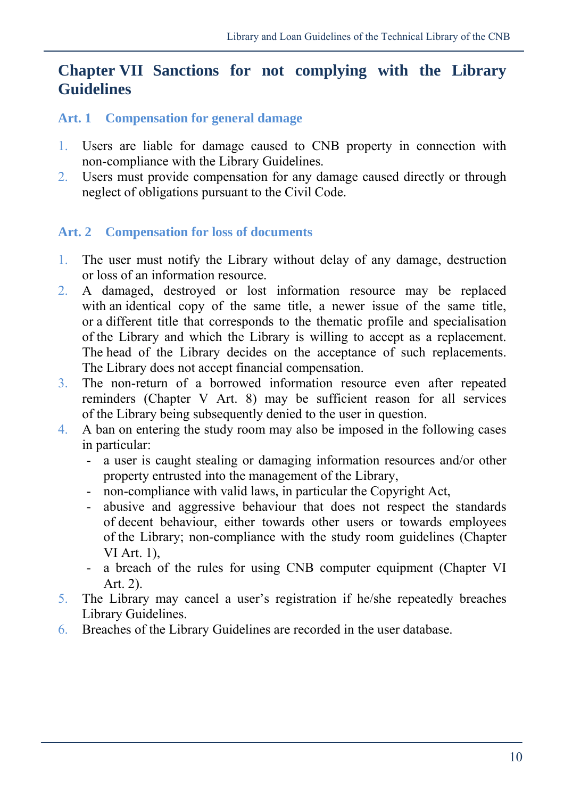# **Chapter VII Sanctions for not complying with the Library Guidelines**

#### **Art. 1 Compensation for general damage**

- 1. Users are liable for damage caused to CNB property in connection with non-compliance with the Library Guidelines.
- 2. Users must provide compensation for any damage caused directly or through neglect of obligations pursuant to the Civil Code.

#### **Art. 2 Compensation for loss of documents**

- 1. The user must notify the Library without delay of any damage, destruction or loss of an information resource.
- 2. A damaged, destroyed or lost information resource may be replaced with an identical copy of the same title, a newer issue of the same title, or a different title that corresponds to the thematic profile and specialisation of the Library and which the Library is willing to accept as a replacement. The head of the Library decides on the acceptance of such replacements. The Library does not accept financial compensation.
- 3. The non-return of a borrowed information resource even after repeated reminders (Chapter V Art. 8) may be sufficient reason for all services of the Library being subsequently denied to the user in question.
- 4. A ban on entering the study room may also be imposed in the following cases in particular:
	- a user is caught stealing or damaging information resources and/or other property entrusted into the management of the Library,
	- non-compliance with valid laws, in particular the Copyright Act,
	- abusive and aggressive behaviour that does not respect the standards of decent behaviour, either towards other users or towards employees of the Library; non-compliance with the study room guidelines (Chapter VI Art. 1),
	- a breach of the rules for using CNB computer equipment (Chapter VI Art. 2).
- 5. The Library may cancel a user's registration if he/she repeatedly breaches Library Guidelines.
- 6. Breaches of the Library Guidelines are recorded in the user database.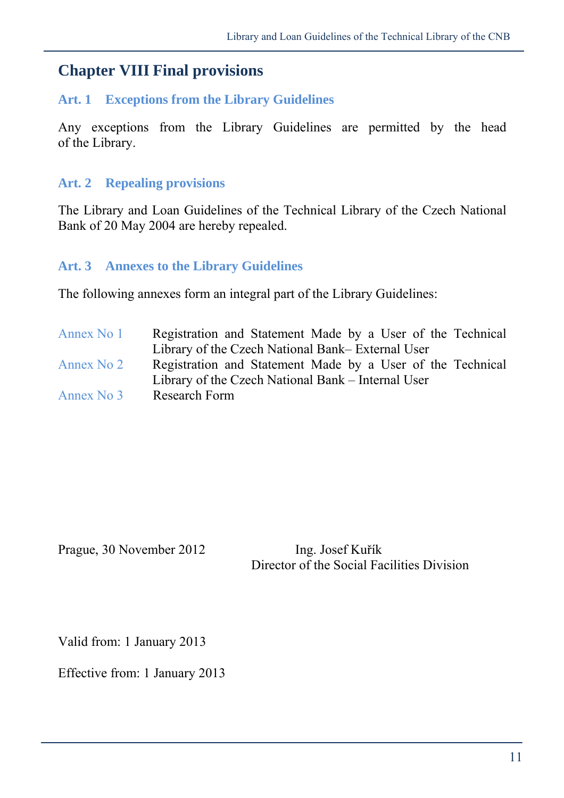## **Chapter VIII Final provisions**

#### **Art. 1 Exceptions from the Library Guidelines**

Any exceptions from the Library Guidelines are permitted by the head of the Library.

#### **Art. 2 Repealing provisions**

The Library and Loan Guidelines of the Technical Library of the Czech National Bank of 20 May 2004 are hereby repealed.

#### **Art. 3 Annexes to the Library Guidelines**

The following annexes form an integral part of the Library Guidelines:

Annex No 1 Registration and Statement Made by a User of the Technical Library of the Czech National Bank– External User Annex No 2 Registration and Statement Made by a User of the Technical Library of the Czech National Bank – Internal User Annex No 3 Research Form

Prague, 30 November 2012 Ing. Josef Kuřík

Director of the Social Facilities Division

Valid from: 1 January 2013

Effective from: 1 January 2013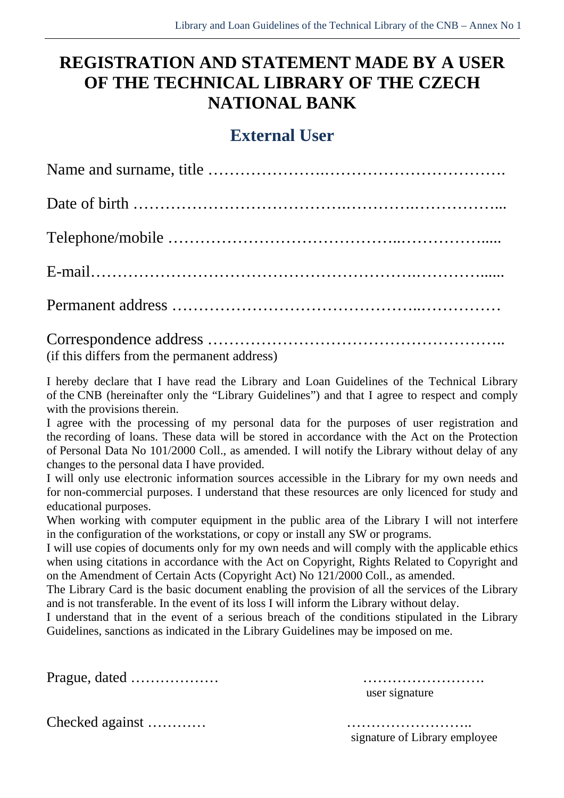# **REGISTRATION AND STATEMENT MADE BY A USER OF THE TECHNICAL LIBRARY OF THE CZECH NATIONAL BANK**

## **External User**

Correspondence address ……………………………………………….. (if this differs from the permanent address)

I hereby declare that I have read the Library and Loan Guidelines of the Technical Library of the CNB (hereinafter only the "Library Guidelines") and that I agree to respect and comply with the provisions therein.

I agree with the processing of my personal data for the purposes of user registration and the recording of loans. These data will be stored in accordance with the Act on the Protection of Personal Data No 101/2000 Coll., as amended. I will notify the Library without delay of any changes to the personal data I have provided.

I will only use electronic information sources accessible in the Library for my own needs and for non-commercial purposes. I understand that these resources are only licenced for study and educational purposes.

When working with computer equipment in the public area of the Library I will not interfere in the configuration of the workstations, or copy or install any SW or programs.

I will use copies of documents only for my own needs and will comply with the applicable ethics when using citations in accordance with the Act on Copyright, Rights Related to Copyright and on the Amendment of Certain Acts (Copyright Act) No 121/2000 Coll., as amended.

The Library Card is the basic document enabling the provision of all the services of the Library and is not transferable. In the event of its loss I will inform the Library without delay.

I understand that in the event of a serious breach of the conditions stipulated in the Library Guidelines, sanctions as indicated in the Library Guidelines may be imposed on me.

Prague, dated ……………… ……………………. user signature

multimizies is multimized a generalized against method is signature of Library employee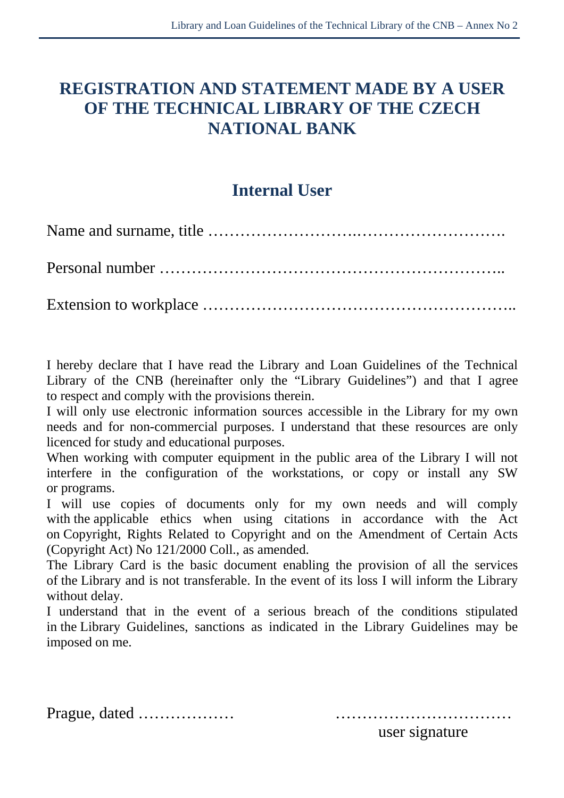# **REGISTRATION AND STATEMENT MADE BY A USER OF THE TECHNICAL LIBRARY OF THE CZECH NATIONAL BANK**

# **Internal User**

I hereby declare that I have read the Library and Loan Guidelines of the Technical Library of the CNB (hereinafter only the "Library Guidelines") and that I agree to respect and comply with the provisions therein.

I will only use electronic information sources accessible in the Library for my own needs and for non-commercial purposes. I understand that these resources are only licenced for study and educational purposes.

When working with computer equipment in the public area of the Library I will not interfere in the configuration of the workstations, or copy or install any SW or programs.

I will use copies of documents only for my own needs and will comply with the applicable ethics when using citations in accordance with the Act on Copyright, Rights Related to Copyright and on the Amendment of Certain Acts (Copyright Act) No 121/2000 Coll., as amended.

The Library Card is the basic document enabling the provision of all the services of the Library and is not transferable. In the event of its loss I will inform the Library without delay.

I understand that in the event of a serious breach of the conditions stipulated in the Library Guidelines, sanctions as indicated in the Library Guidelines may be imposed on me.

Prague, dated ……………… ……………………………

user signature